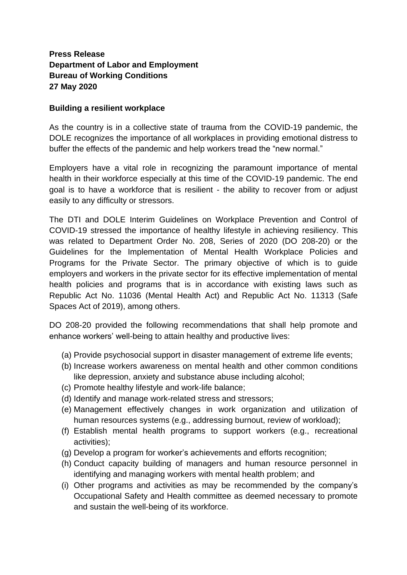## **Press Release Department of Labor and Employment Bureau of Working Conditions 27 May 2020**

## **Building a resilient workplace**

As the country is in a collective state of trauma from the COVID-19 pandemic, the DOLE recognizes the importance of all workplaces in providing emotional distress to buffer the effects of the pandemic and help workers tread the "new normal."

Employers have a vital role in recognizing the paramount importance of mental health in their workforce especially at this time of the COVID-19 pandemic. The end goal is to have a workforce that is resilient - the ability to recover from or adjust easily to any difficulty or stressors.

The DTI and DOLE Interim Guidelines on Workplace Prevention and Control of COVID-19 stressed the importance of healthy lifestyle in achieving resiliency. This was related to Department Order No. 208, Series of 2020 (DO 208-20) or the Guidelines for the Implementation of Mental Health Workplace Policies and Programs for the Private Sector. The primary objective of which is to guide employers and workers in the private sector for its effective implementation of mental health policies and programs that is in accordance with existing laws such as Republic Act No. 11036 (Mental Health Act) and Republic Act No. 11313 (Safe Spaces Act of 2019), among others.

DO 208-20 provided the following recommendations that shall help promote and enhance workers' well-being to attain healthy and productive lives:

- (a) Provide psychosocial support in disaster management of extreme life events;
- (b) Increase workers awareness on mental health and other common conditions like depression, anxiety and substance abuse including alcohol;
- (c) Promote healthy lifestyle and work-life balance;
- (d) Identify and manage work-related stress and stressors;
- (e) Management effectively changes in work organization and utilization of human resources systems (e.g., addressing burnout, review of workload);
- (f) Establish mental health programs to support workers (e.g., recreational activities);
- (g) Develop a program for worker's achievements and efforts recognition;
- (h) Conduct capacity building of managers and human resource personnel in identifying and managing workers with mental health problem; and
- (i) Other programs and activities as may be recommended by the company's Occupational Safety and Health committee as deemed necessary to promote and sustain the well-being of its workforce.